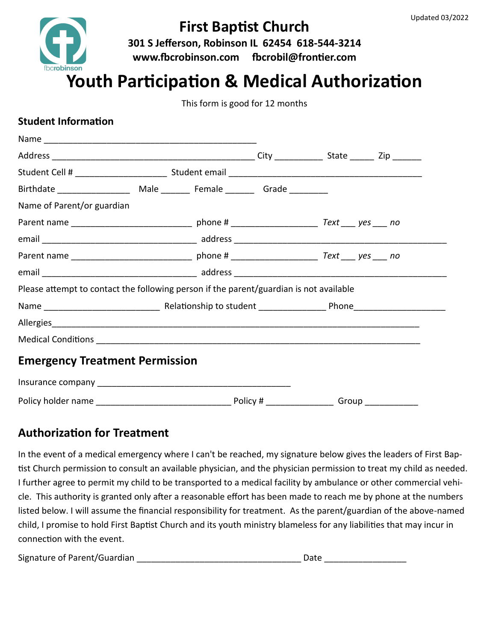

## **First Baptist Church**

**301 S Jefferson, Robinson IL 62454 618-544-3214 www.fbcrobinson.com fbcrobil@frontier.com**

# **Youth Participation & Medical Authorization**

This form is good for 12 months

#### **Student Information**

| Birthdate ____________________ Male _________ Female _________ Grade __________        |  |  |  |  |
|----------------------------------------------------------------------------------------|--|--|--|--|
| Name of Parent/or guardian                                                             |  |  |  |  |
|                                                                                        |  |  |  |  |
|                                                                                        |  |  |  |  |
|                                                                                        |  |  |  |  |
|                                                                                        |  |  |  |  |
| Please attempt to contact the following person if the parent/guardian is not available |  |  |  |  |
|                                                                                        |  |  |  |  |
|                                                                                        |  |  |  |  |
|                                                                                        |  |  |  |  |
| <b>Emergency Treatment Permission</b>                                                  |  |  |  |  |
|                                                                                        |  |  |  |  |
|                                                                                        |  |  |  |  |

### **Authorization for Treatment**

In the event of a medical emergency where I can't be reached, my signature below gives the leaders of First Baptist Church permission to consult an available physician, and the physician permission to treat my child as needed. I further agree to permit my child to be transported to a medical facility by ambulance or other commercial vehicle. This authority is granted only after a reasonable effort has been made to reach me by phone at the numbers listed below. I will assume the financial responsibility for treatment. As the parent/guardian of the above-named child, I promise to hold First Baptist Church and its youth ministry blameless for any liabilities that may incur in connection with the event.

Signature of Parent/Guardian \_\_\_\_\_\_\_\_\_\_\_\_\_\_\_\_\_\_\_\_\_\_\_\_\_\_\_\_\_\_\_\_\_\_ Date \_\_\_\_\_\_\_\_\_\_\_\_\_\_\_\_\_